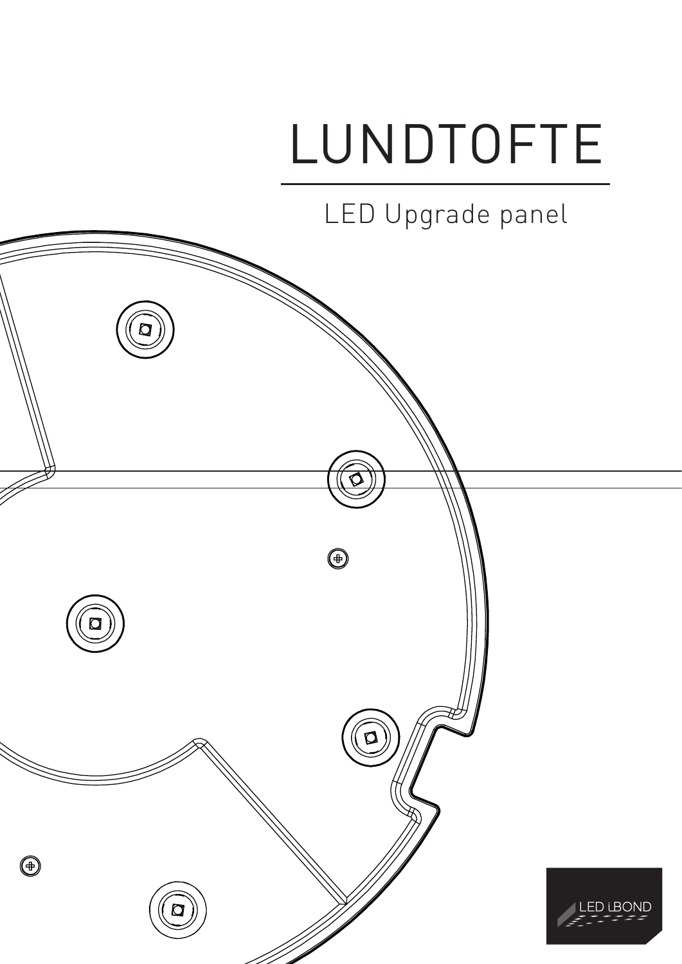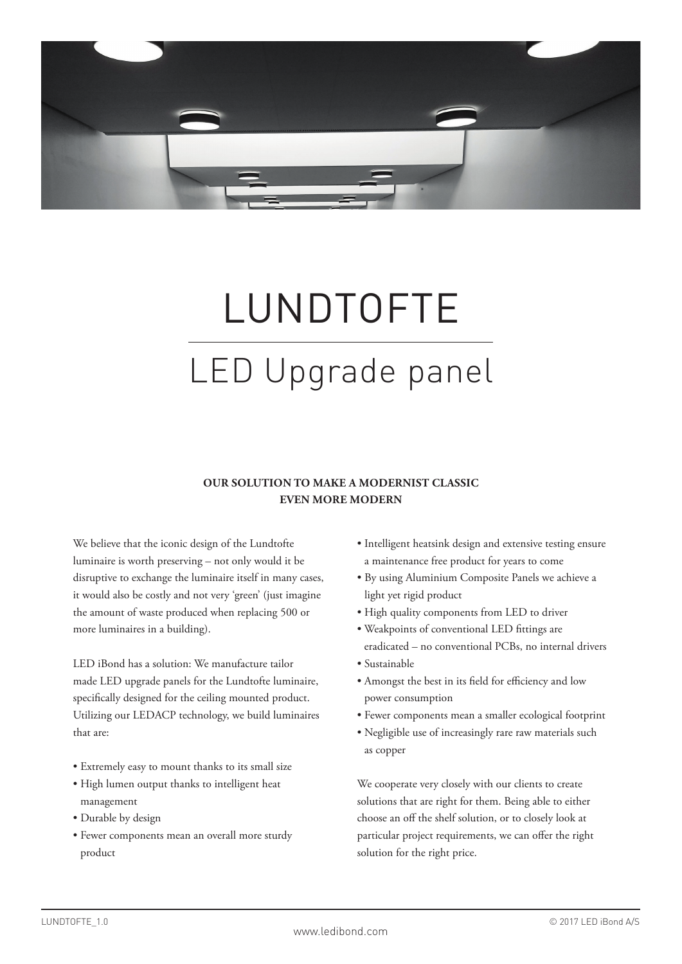

# LUNDTOFTE LED Upgrade panel

### **OUR SOLUTION TO MAKE A MODERNIST CLASSIC EVEN MORE MODERN**

We believe that the iconic design of the Lundtofte luminaire is worth preserving – not only would it be disruptive to exchange the luminaire itself in many cases, it would also be costly and not very 'green' (just imagine the amount of waste produced when replacing 500 or more luminaires in a building).

LED iBond has a solution: We manufacture tailor made LED upgrade panels for the Lundtofte luminaire, specifically designed for the ceiling mounted product. Utilizing our LEDACP technology, we build luminaires that are:

- Extremely easy to mount thanks to its small size
- High lumen output thanks to intelligent heat management
- Durable by design
- Fewer components mean an overall more sturdy product
- Intelligent heatsink design and extensive testing ensure a maintenance free product for years to come
- By using Aluminium Composite Panels we achieve a light yet rigid product
- High quality components from LED to driver
- Weakpoints of conventional LED fittings are eradicated – no conventional PCBs, no internal drivers
- Sustainable
- Amongst the best in its field for efficiency and low power consumption
- Fewer components mean a smaller ecological footprint
- Negligible use of increasingly rare raw materials such as copper

We cooperate very closely with our clients to create solutions that are right for them. Being able to either choose an off the shelf solution, or to closely look at particular project requirements, we can offer the right solution for the right price.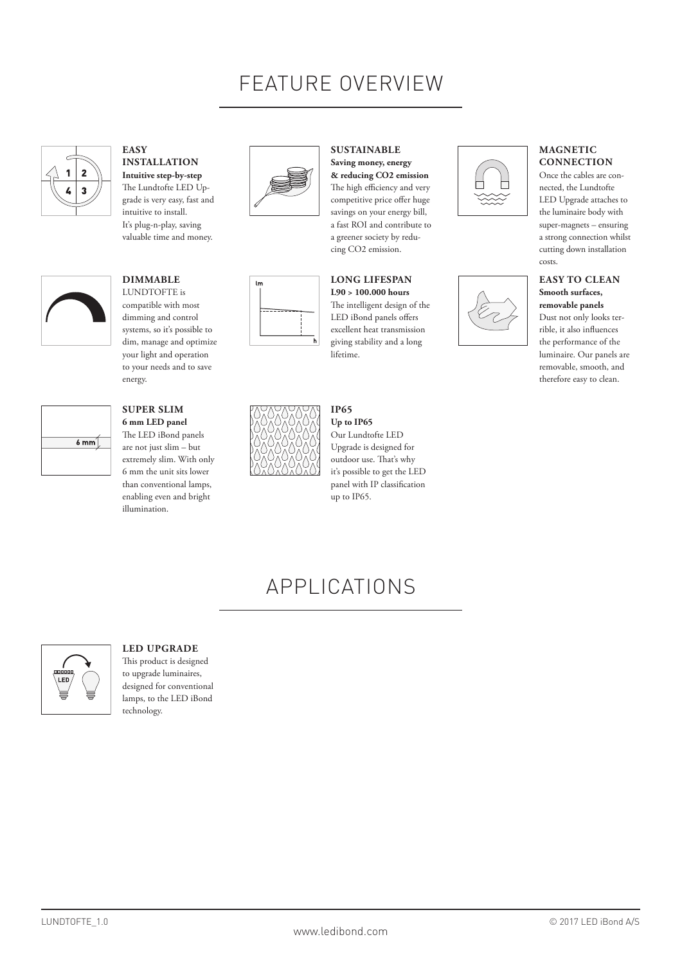# FEATURE OVERVIEW

**SUSTAINABLE Saving money, energy & reducing CO2 emission**  The high efficiency and very competitive price offer huge savings on your energy bill, a fast ROI and contribute to a greener society by reducing CO2 emission.



**EASY INSTALLATION Intuitive step-by-step** The Lundtofte LED Upgrade is very easy, fast and intuitive to install. It's plug-n-play, saving valuable time and money.



### **DIMMABLE** LUNDTOFTE is

compatible with most dimming and control systems, so it's possible to dim, manage and optimize your light and operation to your needs and to save energy.



## **SUPER SLIM**

**6 mm LED panel** The LED iBond panels are not just slim – but extremely slim. With only 6 mm the unit sits lower than conventional lamps, enabling even and bright illumination.





#### **LONG LIFESPAN L90 > 100.000 hours** The intelligent design of the LED iBond panels offers excellent heat transmission giving stability and a long lifetime.



# APPLICATIONS



### **LED UPGRADE**

This product is designed to upgrade luminaires, designed for conventional lamps, to the LED iBond technology.





#### **MAGNETIC CONNECTION**

Once the cables are connected, the Lundtofte LED Upgrade attaches to the luminaire body with super-magnets – ensuring a strong connection whilst cutting down installation costs.

#### **EASY TO CLEAN Smooth surfaces, removable panels**

Dust not only looks terrible, it also influences the performance of the luminaire. Our panels are removable, smooth, and therefore easy to clean.